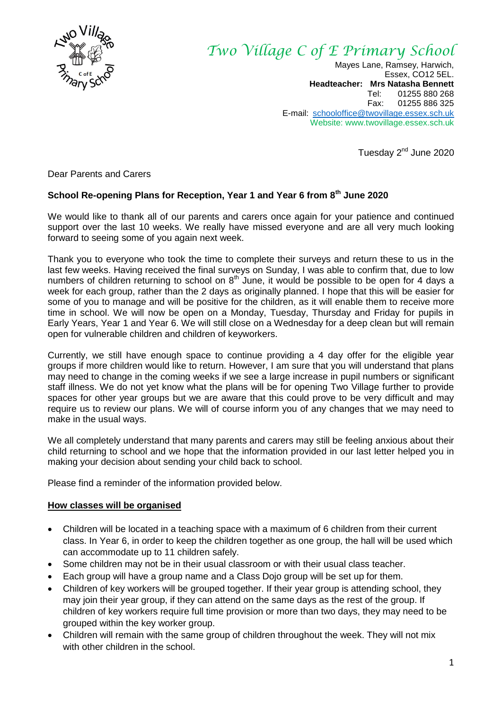

# *Two Village C of E Primary School*

Mayes Lane, Ramsey, Harwich, Essex, CO12 5EL. **Headteacher: Mrs Natasha Bennett** Tel: 01255 880 268<br>Fax: 01255 886 325 01255 886 325 E-mail: [schooloffice@twovillage.essex.sch.uk](mailto:schooloffice@twovillage.essex.sch.uk) Website: www.twovillage.essex.sch.uk

Tuesday 2<sup>nd</sup> June 2020

Dear Parents and Carers

#### **School Re-opening Plans for Reception, Year 1 and Year 6 from 8th June 2020**

We would like to thank all of our parents and carers once again for your patience and continued support over the last 10 weeks. We really have missed everyone and are all very much looking forward to seeing some of you again next week.

Thank you to everyone who took the time to complete their surveys and return these to us in the last few weeks. Having received the final surveys on Sunday, I was able to confirm that, due to low numbers of children returning to school on  $8<sup>th</sup>$  June, it would be possible to be open for 4 days a week for each group, rather than the 2 days as originally planned. I hope that this will be easier for some of you to manage and will be positive for the children, as it will enable them to receive more time in school. We will now be open on a Monday, Tuesday, Thursday and Friday for pupils in Early Years, Year 1 and Year 6. We will still close on a Wednesday for a deep clean but will remain open for vulnerable children and children of keyworkers.

Currently, we still have enough space to continue providing a 4 day offer for the eligible year groups if more children would like to return. However, I am sure that you will understand that plans may need to change in the coming weeks if we see a large increase in pupil numbers or significant staff illness. We do not yet know what the plans will be for opening Two Village further to provide spaces for other year groups but we are aware that this could prove to be very difficult and may require us to review our plans. We will of course inform you of any changes that we may need to make in the usual ways.

We all completely understand that many parents and carers may still be feeling anxious about their child returning to school and we hope that the information provided in our last letter helped you in making your decision about sending your child back to school.

Please find a reminder of the information provided below.

#### **How classes will be organised**

- Children will be located in a teaching space with a maximum of 6 children from their current class. In Year 6, in order to keep the children together as one group, the hall will be used which can accommodate up to 11 children safely.
- Some children may not be in their usual classroom or with their usual class teacher.
- Each group will have a group name and a Class Dojo group will be set up for them.
- Children of key workers will be grouped together. If their year group is attending school, they may join their year group, if they can attend on the same days as the rest of the group. If children of key workers require full time provision or more than two days, they may need to be grouped within the key worker group.
- Children will remain with the same group of children throughout the week. They will not mix with other children in the school.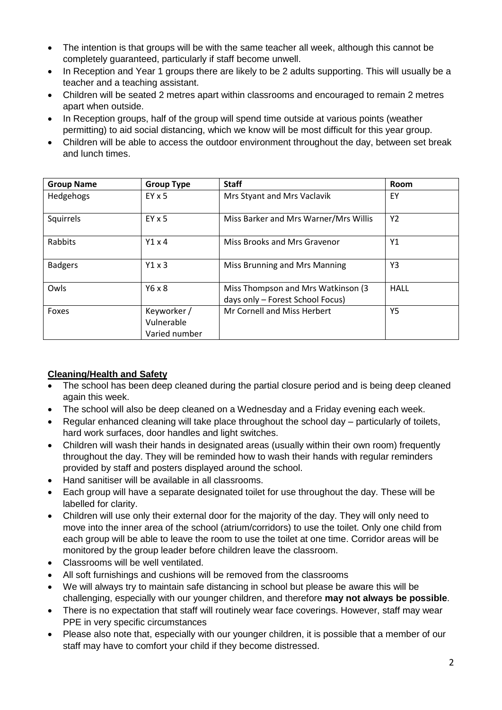- The intention is that groups will be with the same teacher all week, although this cannot be completely guaranteed, particularly if staff become unwell.
- In Reception and Year 1 groups there are likely to be 2 adults supporting. This will usually be a teacher and a teaching assistant.
- Children will be seated 2 metres apart within classrooms and encouraged to remain 2 metres apart when outside.
- In Reception groups, half of the group will spend time outside at various points (weather permitting) to aid social distancing, which we know will be most difficult for this year group.
- Children will be able to access the outdoor environment throughout the day, between set break and lunch times.

| <b>Group Name</b> | <b>Group Type</b>                          | <b>Staff</b>                                                           | Room        |
|-------------------|--------------------------------------------|------------------------------------------------------------------------|-------------|
| Hedgehogs         | $EY \times 5$                              | Mrs Styant and Mrs Vaclavik                                            | EY          |
| Squirrels         | $EY \times 5$                              | Miss Barker and Mrs Warner/Mrs Willis                                  | Y2          |
| Rabbits           | Y1x4                                       | Miss Brooks and Mrs Gravenor                                           | Y1          |
| <b>Badgers</b>    | Y1x3                                       | Miss Brunning and Mrs Manning                                          | Y3          |
| Owls              | $Y6 \times 8$                              | Miss Thompson and Mrs Watkinson (3<br>days only - Forest School Focus) | <b>HALL</b> |
| Foxes             | Keyworker /<br>Vulnerable<br>Varied number | Mr Cornell and Miss Herbert                                            | Y5          |

#### **Cleaning/Health and Safety**

- The school has been deep cleaned during the partial closure period and is being deep cleaned again this week.
- The school will also be deep cleaned on a Wednesday and a Friday evening each week.
- Regular enhanced cleaning will take place throughout the school day particularly of toilets, hard work surfaces, door handles and light switches.
- Children will wash their hands in designated areas (usually within their own room) frequently throughout the day. They will be reminded how to wash their hands with regular reminders provided by staff and posters displayed around the school.
- Hand sanitiser will be available in all classrooms.
- Each group will have a separate designated toilet for use throughout the day. These will be labelled for clarity.
- Children will use only their external door for the majority of the day. They will only need to move into the inner area of the school (atrium/corridors) to use the toilet. Only one child from each group will be able to leave the room to use the toilet at one time. Corridor areas will be monitored by the group leader before children leave the classroom.
- Classrooms will be well ventilated.
- All soft furnishings and cushions will be removed from the classrooms
- We will always try to maintain safe distancing in school but please be aware this will be challenging, especially with our younger children, and therefore **may not always be possible**.
- There is no expectation that staff will routinely wear face coverings. However, staff may wear PPE in very specific circumstances
- Please also note that, especially with our younger children, it is possible that a member of our staff may have to comfort your child if they become distressed.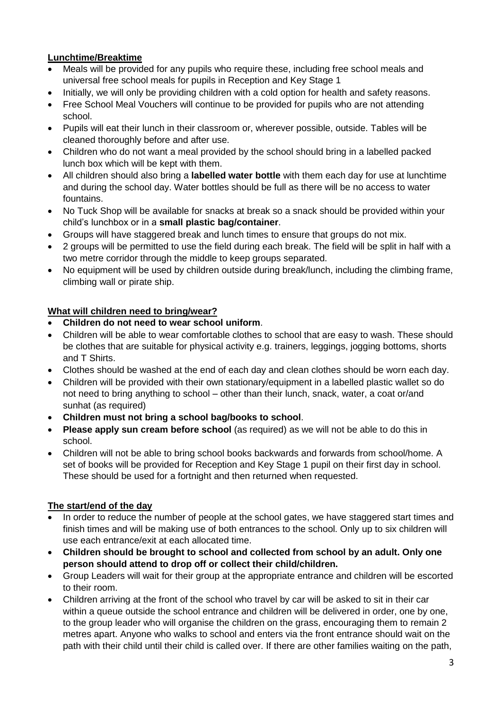### **Lunchtime/Breaktime**

- Meals will be provided for any pupils who require these, including free school meals and universal free school meals for pupils in Reception and Key Stage 1
- Initially, we will only be providing children with a cold option for health and safety reasons.
- Free School Meal Vouchers will continue to be provided for pupils who are not attending school.
- Pupils will eat their lunch in their classroom or, wherever possible, outside. Tables will be cleaned thoroughly before and after use.
- Children who do not want a meal provided by the school should bring in a labelled packed lunch box which will be kept with them.
- All children should also bring a **labelled water bottle** with them each day for use at lunchtime and during the school day. Water bottles should be full as there will be no access to water fountains.
- No Tuck Shop will be available for snacks at break so a snack should be provided within your child's lunchbox or in a **small plastic bag/container**.
- Groups will have staggered break and lunch times to ensure that groups do not mix.
- 2 groups will be permitted to use the field during each break. The field will be split in half with a two metre corridor through the middle to keep groups separated.
- No equipment will be used by children outside during break/lunch, including the climbing frame, climbing wall or pirate ship.

### **What will children need to bring/wear?**

- **Children do not need to wear school uniform**.
- Children will be able to wear comfortable clothes to school that are easy to wash. These should be clothes that are suitable for physical activity e.g. trainers, leggings, jogging bottoms, shorts and T Shirts.
- Clothes should be washed at the end of each day and clean clothes should be worn each day.
- Children will be provided with their own stationary/equipment in a labelled plastic wallet so do not need to bring anything to school – other than their lunch, snack, water, a coat or/and sunhat (as required)
- **Children must not bring a school bag/books to school**.
- **Please apply sun cream before school** (as required) as we will not be able to do this in school.
- Children will not be able to bring school books backwards and forwards from school/home. A set of books will be provided for Reception and Key Stage 1 pupil on their first day in school. These should be used for a fortnight and then returned when requested.

### **The start/end of the day**

- In order to reduce the number of people at the school gates, we have staggered start times and finish times and will be making use of both entrances to the school. Only up to six children will use each entrance/exit at each allocated time.
- **Children should be brought to school and collected from school by an adult. Only one person should attend to drop off or collect their child/children.**
- Group Leaders will wait for their group at the appropriate entrance and children will be escorted to their room.
- Children arriving at the front of the school who travel by car will be asked to sit in their car within a queue outside the school entrance and children will be delivered in order, one by one, to the group leader who will organise the children on the grass, encouraging them to remain 2 metres apart. Anyone who walks to school and enters via the front entrance should wait on the path with their child until their child is called over. If there are other families waiting on the path,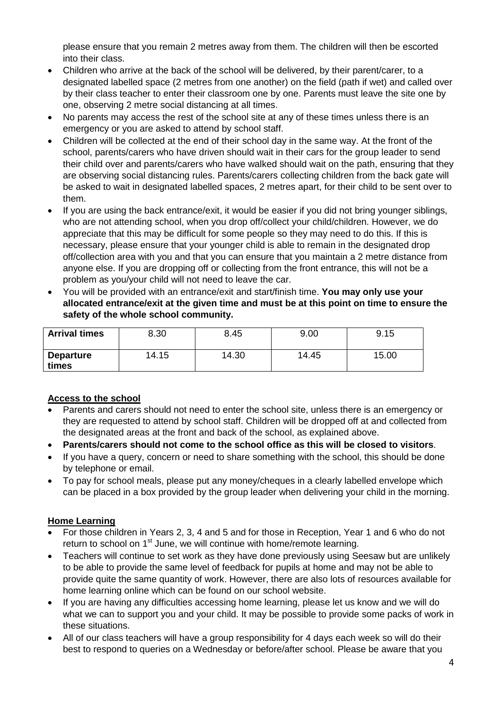please ensure that you remain 2 metres away from them. The children will then be escorted into their class.

- Children who arrive at the back of the school will be delivered, by their parent/carer, to a designated labelled space (2 metres from one another) on the field (path if wet) and called over by their class teacher to enter their classroom one by one. Parents must leave the site one by one, observing 2 metre social distancing at all times.
- No parents may access the rest of the school site at any of these times unless there is an emergency or you are asked to attend by school staff.
- Children will be collected at the end of their school day in the same way. At the front of the school, parents/carers who have driven should wait in their cars for the group leader to send their child over and parents/carers who have walked should wait on the path, ensuring that they are observing social distancing rules. Parents/carers collecting children from the back gate will be asked to wait in designated labelled spaces, 2 metres apart, for their child to be sent over to them.
- If you are using the back entrance/exit, it would be easier if you did not bring younger siblings, who are not attending school, when you drop off/collect your child/children. However, we do appreciate that this may be difficult for some people so they may need to do this. If this is necessary, please ensure that your younger child is able to remain in the designated drop off/collection area with you and that you can ensure that you maintain a 2 metre distance from anyone else. If you are dropping off or collecting from the front entrance, this will not be a problem as you/your child will not need to leave the car.
- You will be provided with an entrance/exit and start/finish time. **You may only use your allocated entrance/exit at the given time and must be at this point on time to ensure the safety of the whole school community.**

| <b>Arrival times</b>      | 8.30  | 8.45  | 9.00  | 9.15  |
|---------------------------|-------|-------|-------|-------|
| <b>Departure</b><br>times | 14.15 | 14.30 | 14.45 | 15.00 |

### **Access to the school**

- Parents and carers should not need to enter the school site, unless there is an emergency or they are requested to attend by school staff. Children will be dropped off at and collected from the designated areas at the front and back of the school, as explained above.
- **Parents/carers should not come to the school office as this will be closed to visitors**.
- If you have a query, concern or need to share something with the school, this should be done by telephone or email.
- To pay for school meals, please put any money/cheques in a clearly labelled envelope which can be placed in a box provided by the group leader when delivering your child in the morning.

### **Home Learning**

- For those children in Years 2, 3, 4 and 5 and for those in Reception, Year 1 and 6 who do not return to school on 1<sup>st</sup> June, we will continue with home/remote learning.
- Teachers will continue to set work as they have done previously using Seesaw but are unlikely to be able to provide the same level of feedback for pupils at home and may not be able to provide quite the same quantity of work. However, there are also lots of resources available for home learning online which can be found on our school website.
- If you are having any difficulties accessing home learning, please let us know and we will do what we can to support you and your child. It may be possible to provide some packs of work in these situations.
- All of our class teachers will have a group responsibility for 4 days each week so will do their best to respond to queries on a Wednesday or before/after school. Please be aware that you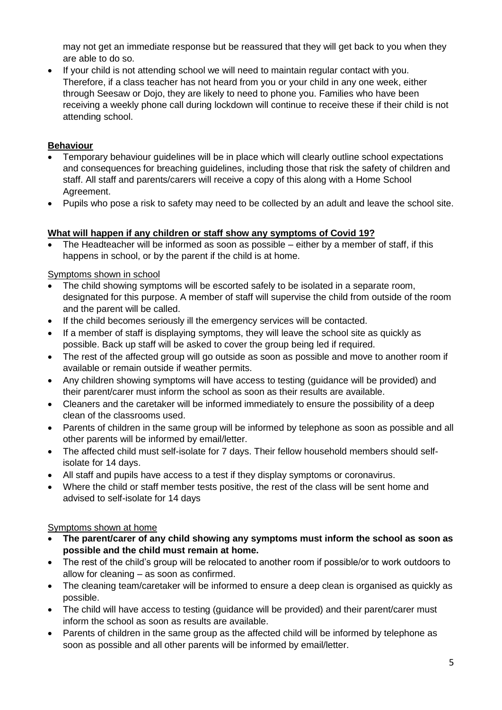may not get an immediate response but be reassured that they will get back to you when they are able to do so.

 If your child is not attending school we will need to maintain regular contact with you. Therefore, if a class teacher has not heard from you or your child in any one week, either through Seesaw or Dojo, they are likely to need to phone you. Families who have been receiving a weekly phone call during lockdown will continue to receive these if their child is not attending school.

### **Behaviour**

- Temporary behaviour guidelines will be in place which will clearly outline school expectations and consequences for breaching guidelines, including those that risk the safety of children and staff. All staff and parents/carers will receive a copy of this along with a Home School Agreement.
- Pupils who pose a risk to safety may need to be collected by an adult and leave the school site.

# **What will happen if any children or staff show any symptoms of Covid 19?**

 The Headteacher will be informed as soon as possible – either by a member of staff, if this happens in school, or by the parent if the child is at home.

## Symptoms shown in school

- The child showing symptoms will be escorted safely to be isolated in a separate room, designated for this purpose. A member of staff will supervise the child from outside of the room and the parent will be called.
- If the child becomes seriously ill the emergency services will be contacted.
- If a member of staff is displaying symptoms, they will leave the school site as quickly as possible. Back up staff will be asked to cover the group being led if required.
- The rest of the affected group will go outside as soon as possible and move to another room if available or remain outside if weather permits.
- Any children showing symptoms will have access to testing (guidance will be provided) and their parent/carer must inform the school as soon as their results are available.
- Cleaners and the caretaker will be informed immediately to ensure the possibility of a deep clean of the classrooms used.
- Parents of children in the same group will be informed by telephone as soon as possible and all other parents will be informed by email/letter.
- The affected child must self-isolate for 7 days. Their fellow household members should selfisolate for 14 days.
- All staff and pupils have access to a test if they display symptoms or coronavirus.
- Where the child or staff member tests positive, the rest of the class will be sent home and advised to self-isolate for 14 days

# Symptoms shown at home

- **The parent/carer of any child showing any symptoms must inform the school as soon as possible and the child must remain at home.**
- The rest of the child's group will be relocated to another room if possible/or to work outdoors to allow for cleaning – as soon as confirmed.
- The cleaning team/caretaker will be informed to ensure a deep clean is organised as quickly as possible.
- The child will have access to testing (quidance will be provided) and their parent/carer must inform the school as soon as results are available.
- Parents of children in the same group as the affected child will be informed by telephone as soon as possible and all other parents will be informed by email/letter.